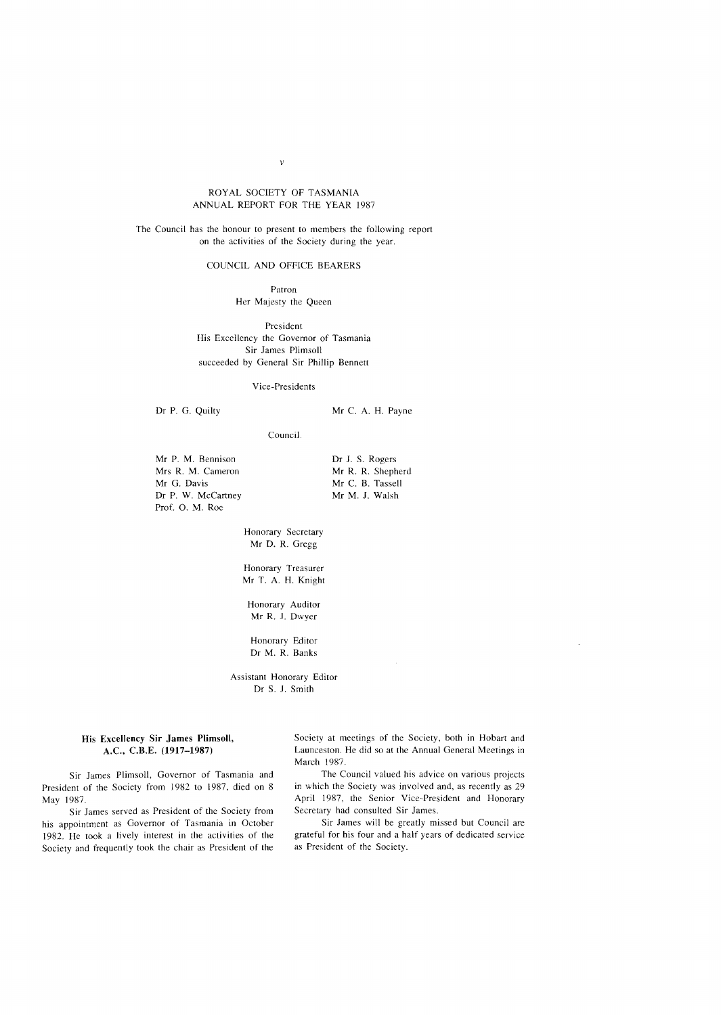# ROYAL SOCIETY OF TASMANIA ANNUAL REPORT FOR THE YEAR 1987

The Council has the honour to present to members the following report on the activities of the Society during the year.

## COUNCIL AND OFFICE BEARERS

Patron Her Majesty the Queen

President His Excellency the Governor of Tasmania Sir James Plimsoll succeeded by General Sir Phillip Bennett

Vice-Presidents

Dr P. G. Quilty

Mr C. A. H. Payne

Council

Mr P. M. Bennison Mrs R. M. Cameron Mr G. Davis Dr P. W. McCartney Prof. O. M. Roe

Dr J. S. Rogers Mr R. R. Shepherd Mr C. B. Tassell Mr M. J. Walsh

Honorary Secretary Mr D. R. Gregg

Honorary Treasurer Mr T. A. H. Knight

Honorary Auditor Mr R. J. Dwyer

Honorary Editor Dr M. R. Banks

Assistant Honorary Editor Dr S. J. Smith

# His Excellency Sir James Plimsoll, A.C., C.B.E. (1917-1987)

Sir James Plimsoll, Governor of Tasmania and President of the Society from 1982 to 1987, died on 8 May 1987.

Sir James served as President of the Society from his appointment as Governor of Tasmania in October 1982. He took a lively interest in the activities of the Society and frequently took the chair as President of the

Society ar meetings of the Society, both in Hobart and Launceston. He did so at the Annual General Meetings in March 1987.

The Council valued his advice on various projects in which the Society was involved and, as recently as 29 April 1987, the Senior Vice-President and Honorary Secretary had consulted Sir James.

Sir James will be greatly missed but Council are grateful for his four and a half years of dedicated service as President of the Society.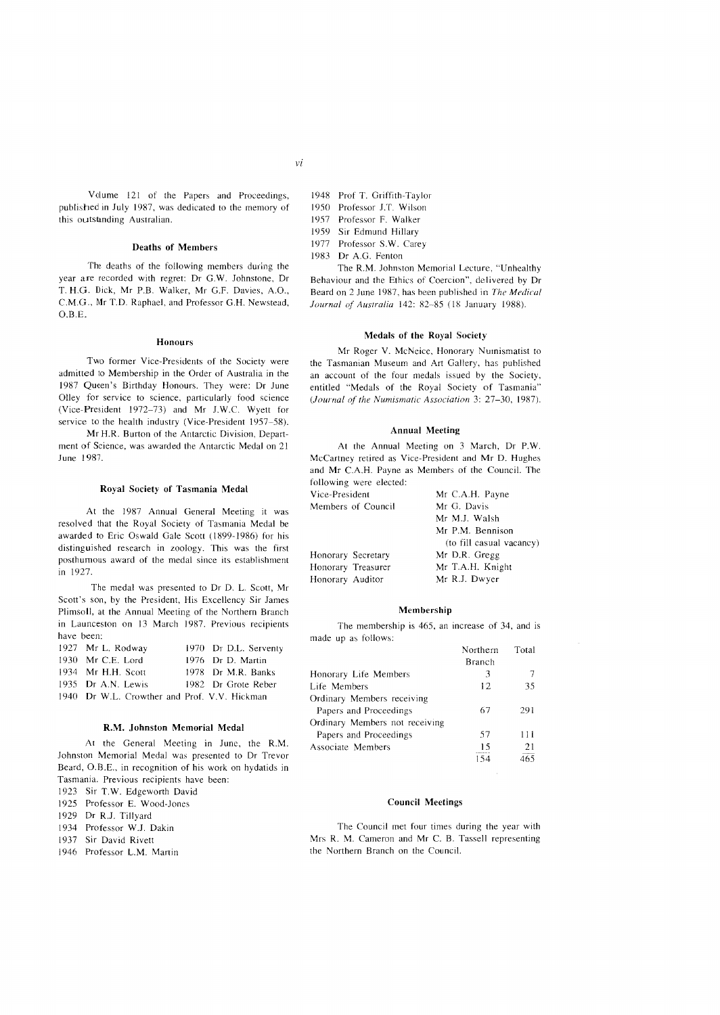this outstanding Australian.

# Deaths of Members

The deaths of the following members during the year are recorded with regret: Dr G.W. Johnstone, Dr T. H.G. Dick, Mr P.B. Walker, Mr G.F. Davies, A.O., C.M.G., Mr T.D. Raphael, and Professor G.H. Newstead,  $O.B.E.$ 

#### Honours

Two former Vice-Presidents of the Society were admitted to Membership in the Order of Australia in the 1987 Queen's Birthday Honours. They were: Dr June Olley for service to science, particularly food science (Vice-President 1972-73) and Mr J.W.C. Wyett for service to the health industry (Vice-President 1957-58).

Mr H.R. Burton of the Antarctic Division, Department of Science, was awarded the Antarctic Medal on 21 June 1987.

## Royal Society of Tasmania Medal

At the 1987 Annual General Meeting it was resolved that the Royal Society of Tasmania Medal be awarded to Eric Oswald Gale Scott (1899-1986) for his distinguished research in zoology. This was the first posthumous award of the medal since its establishment in 1927.

The medal was presented to Dr D. L. Scott, Mr Scott's son, by the President, His Excellency Sir James Plimsoll, at the Annual Meeting of the Northem Branch in Launceston on 13 March 1987. Previous recipients have been:

| 1927 Mr L. Rodway                            | 1970 Dr D.L. Serventy |
|----------------------------------------------|-----------------------|
| 1930 Mr C.E. Lord                            | 1976 Dr D. Martin     |
| 1934 Mr H.H. Scott                           | 1978 Dr M.R. Banks    |
| 1935 Dr A.N. Lewis                           | 1982 Dr Grote Reber   |
| 1940 Dr W.L. Crowther and Prof. V.V. Hickman |                       |

## R.M. Johnston Memorial Medal

At the General Meeting in June, the R.M. Johnston Memorial Medal was presented to Dr Trevor Beard, O.B.E., in recognition of his work on hydatids in Tasmania. Previous recipients have been: 1923 Sir T.W. Edgeworth David 1925 Professor E. Wood-Jones 1929 Dr R.I. Tillyard 1934 Professor W.J. Dakin 1937 Sir David Rivett

1946 Professor L.M. Martin

- 1948 Prof T. Griffith-Taylor
- 1950 Professor J.T. Wilson
- 1957 Professor F. Walker
- 1959 Sir Edmund Hillary
- 1977 Professor S.W. Carey
- 1983 Dr A.G. Fenton

The R.M. Johnston Memorial Lecture, "Unhealthy Behaviour and the Ethics of Coercion", delivered by Dr Beard on 2 June 1987, has been published in *The Medical Journal of Australia* 142: 82-85 (18 January 1988).

## Medals of the Royal Society

Mr Roger V. McNeice, Honorary Numismatist to the Tasmanian Museum and Art Gallery, has published an account of the four medals issued by the Society, entitled "Medals of the Royal Society of Tasmania" (Journal of the Numismatic Association 3: 27-30, 1987).

#### Annual Meeting

At the Annual Meeting on 3 March, Dr P.W. McCartney retired as Vice-President and Mr D. Hughes and Mr C.A.H. Payne as Members of the Council. The following were elected:

| TOHOWING WERE CREEKED. |                          |  |
|------------------------|--------------------------|--|
| Vice-President         | Mr C.A.H. Payne          |  |
| Members of Council     | Mr G. Davis              |  |
|                        | Mr M.J. Walsh            |  |
|                        | Mr P.M. Bennison         |  |
|                        | (to fill casual vacancy) |  |
| Honorary Secretary     | Mr D.R. Gregg            |  |
| Honorary Treasurer     | Mr T.A.H. Knight         |  |
| Honorary Auditor       | Mr R.J. Dwyer            |  |
|                        |                          |  |

#### Membership

The membership is 465, an increase of 34, and is made up as follows:

|                                | Northern<br>Branch | Total |
|--------------------------------|--------------------|-------|
| Honorary Life Members          | 3                  |       |
| Life Members                   | 12                 | 35    |
| Ordinary Members receiving     |                    |       |
| Papers and Proceedings         | 67                 | 291   |
| Ordinary Members not receiving |                    |       |
| Papers and Proceedings         | 57                 | 111   |
| Associate Members              | 15                 | 21    |
|                                |                    |       |

### Council Meetings

The Council met four times during the year with Mrs R. M. Cameron and Mr C. B. Tassell representing the Northern Branch on the Council.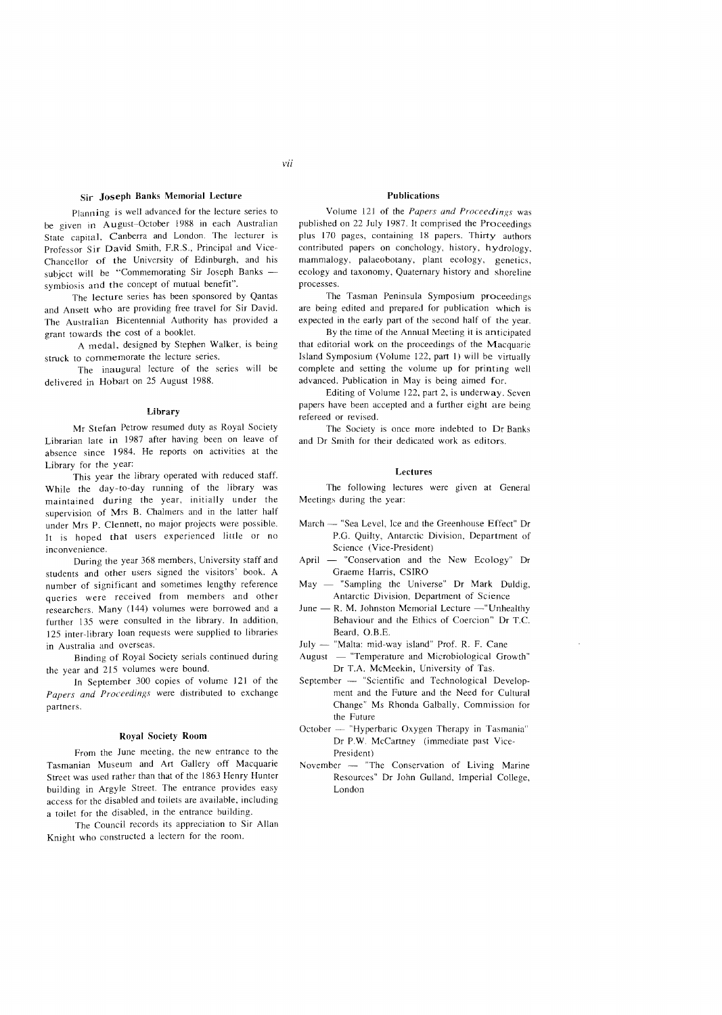# Sir Joseph Banks Memorial Lecture

Planning is well advanced for the lecture series to be given in August-October 1988 in each Australian State capital, Canberra and London. The lecturer is Professor Sir David Smith, F.R.S., Principal and Vice-Chancellor of the University of Edinburgh, and his subject will be "Commemorating Sir Joseph Banks symbiosis and the concept of mutual benefit".

The lecture series has been sponsored by Qantas and Ansett who are providing free travel for Sir David. The Australian Bicentennial Authority has provided a grant towards the cost of a booklet.

A medal, designed by Stephen Walker, is being struck to commemorate the lecture series.

The inaugural lecture of the series will be delivered in Hobart on 25 August 1988.

#### Library

Mr Stefan Petrow resumed duty as Royal Society Librarian late in 1987 after having been on leave of absence since 1984. He reports on activities at the Library for the year:

This year the library operated with reduced staff. While the day-to-day running of the library was maintained during the year, initially under the supervision of Mrs B. Chalmers and in the latter half under Mrs P. Clennett, no major projects were possible. It is hoped that users experienced little or no inconvenience.

During the year 368 members, University staff and students and other users signed the visitors' book. A number of significant and sometimes lengthy reference queries were received from members and other researchers. Many (144) volumes were borrowed and a further 135 were consulted in the library. In addition, 125 inter-library loan requests were supplied to libraries in Australia and overseas.

Binding of Royal Society serials continued during the year and 215 volumes were bound.

In September 300 copies of volume 121 of the *Papers and Proceedings* were distributed to exchange partners.

#### Royal Society Room

From the June meeting, the new entrance to the Tasmanian Museum and Art Gallery off Macquarie Street was used rather than that of the 1863 Henry Hunter building in Argyle Street. The entrance provides easy access for the disabled and toilets are available, including a toilet for the disabled, in the entrance building.

The Council records its appreciation to Sir Allan Knight who constructed a lectern for the room.

# Publications

Volume 121 of the *Papers and Proceedings* was published on 22 July 1987. It comprised the Proceedings plus 170 pages, containing 18 papers. Thirty authors contributed papers on conchology, history, hydrology. mammalogy, palaeobotany, plant ecology, genetics, ecology and taxonomy, Quaternary history and shoreline processes.

The Tasman Peninsula Symposium proceedings are being edited and prepared for publication which is expected in the early part of the second half of the year.

By the time of the Annual Meeting it is anticipated that editorial work on the proceedings of the Macquarie Island Symposium (Volume 122, part I) will be virtually complete and setting the volume up for printing well advanced. Publication in May is being aimed for.

Editing of Volume 122, part 2, is underway. Seven papers have been accepted and a further eight are being refereed or revised.

The Society is once more indebted to Dr Banks and Dr Smith for their dedicated work as editors.

## Lectures

The following lectures were given at General Meetings during the year:

- March -- "Sea Level, Ice and the Greenhouse Effect" Dr P.G. Quilty, Antarctic Division, Department of Science (Vice-President)
- April -- "Conservation and the New Ecology" Dr Graeme Harris, CSIRO
- $May "Sampling the Universe" Dr Mark Duldig,$ Antarctic Division, Department of Science
- $June R. M. Johnston Memorial Lecture "Unhealthv"$ Behaviour and the Ethics of Coercion" Dr T.C. Beard, O.B.E.
- July "Malta: mid-way island" Prof. R. F. Cane
- August  $-$  "Temperature and Microbiological Growth" Dr T.A. McMeekin, University of Tas.
- September -- "Scientific and Technological Development and the Future and the Need for Cultural Change" Ms Rhonda Galbally, Commission for the Future
- October -- "Hyperbaric Oxygen Therapy in Tasmania" Dr P.W. McCartney (immediate past Vice-President)
- November  $-$  "The Conservation of Living Marine Resources" Dr John Gulland, Imperial College, London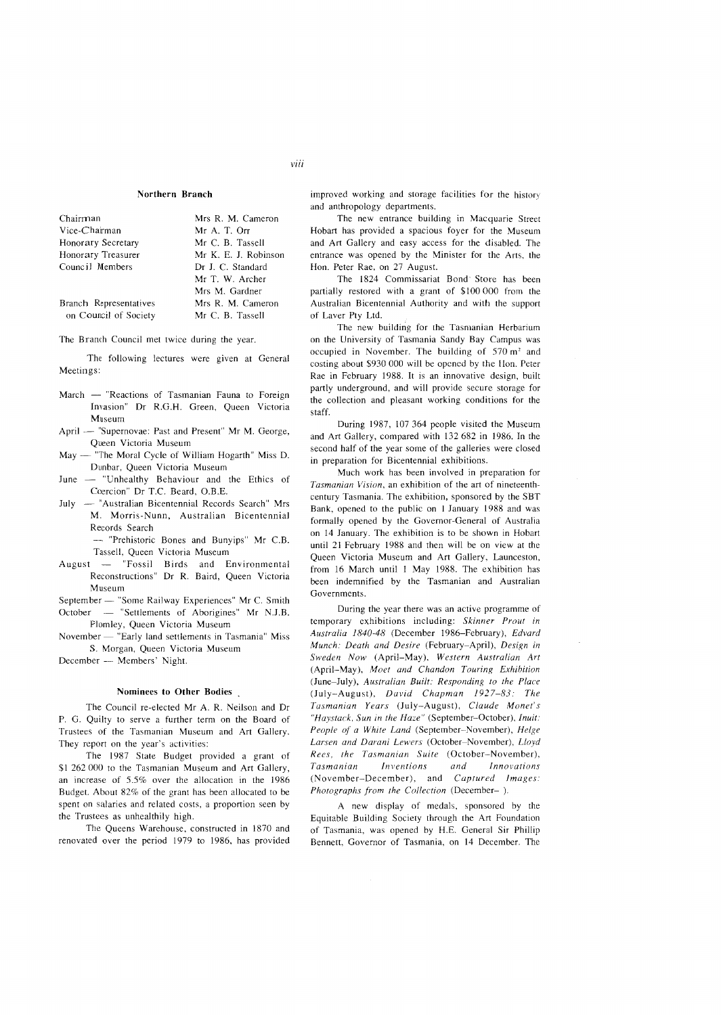# Northern Branch

| Chairman               | Mrs R. M. Cameron    |
|------------------------|----------------------|
| Vice-Chairman          | Mr A. T. Orr         |
| Honorary Secretary     | Mr. C. B. Tassell    |
| Honorary Treasurer     | Mr K. E. J. Robinson |
| Council Members        | Dr J. C. Standard    |
|                        | Mr T. W. Archer      |
|                        | Mrs M. Gardner       |
| Branch Representatives | Mrs R. M. Cameron    |
| on Council of Society  | Mr C. B. Tassell     |

## The Branch Council met twice during the year.

The following lectures were given at General Meetings:

- March "Reactions of Tasmanian Fauna to Foreign Invasion" Dr R.G.H. Green, Queen Victoria Museum
- April "Supernovae: Past and Present" Mr M. George, Queen Victoria Museum
- May "The Moral Cycle of William Hogarth" Miss D. Dunbar, Queen Victoria Museum
- June "Unhealthy Behaviour and the Ethics of Coercion" Dr T.C. Beard, O.B.E.
- July "Australian Bicentennial Records Search" Mrs M. Morris-Nunn. Australian Bicentennial Records Search

- "Prehistoric Bones and Bunyips" Mr C.B. Tassell, Queen Victoria Museum

August - "Fossil Birds and Environmental Reconstructions" Dr R. Baird, Queen Victoria Museum

September - "Some Railway Experiences" Mr C. Smith

October - "Settlements of Aborigines" Mr N.J.B. Plomley, Queen Victoria Museum

November - "Early land settlements in Tasmania" Miss S. Morgan, Queen Victoria Museum

December - Members' Night.

## Nominees to Other Bodies

The Council re-elected Mr A. R. Neilson and Dr P. G. Quilty to serve a further term on the Board of Trustees of the Tasmanian Museum and Art Gallery. They report on the year's activities:

The 1987 State Budget provided a grant of \$1 262 000 to the Tasmanian Museum and Art Gallery, an increase of 5.5% over the allocation in the 1986 Budget. About 82% of the grant has been allocated to be spent on salaries and related costs, a proportion seen by the Trustees as unhealthily high.

The Queens Warehouse, constructed in 1870 and renovated over the period 1979 to 1986, has provided

improved working and storage facilities for the history and anthropology departments.

The new entrance building in Macquarie Street Hobart has provided a spacious foyer for the Museum and Art Gallery and easy access for the disabled. The entrance was opened by the Minister for the Arts, the Hon. Peter Rae, on 27 August.

The 1824 Commissariat Bond' Store has heen partially restored with a grant of \$100 000 from the Australian Bicentennial Authority and with the support of Laver Pty Ltd.

The new building for the Tasmanian Herbarium on the University of Tasmania Sandy Bay Campus was occupied in November. The building of 570 m' and costing about \$930 000 will be opened by the Hon. Peter Rae in February 1988. It is an innovative design, built partly underground, and will provide secure storage for the collection and pleasant working conditions for the staff.

During 1987, 107364 people visited the Museum and Art Gallery, compared with 132 682 in 1986. In the second half of the year some of the galleries were closed in preparation for Bicentennial exhibitions.

Much work has been involved in preparation for *Tasmanian Vision,* an exhibition of the art of nineteenthcentury Tasmania. The exhibition, sponsored by the SBT Bank, opened to the public on 1 January 1988 and was formally opened by the Governor-General of Australia 011 14 January. The exhibition is to be shown in Hobart until 21 February 1988 and then will be on view at the Queen Victoria Museum and Art Gallery, Launceston, from 16 March until 1 May 1988. The exhibition has been indemnified by the Tasmanian and Australian Governments.

During the year there was an active programme of temporary exhibitions including: *Skinner Prout in Australia 1840-48* (December 1986--February), *Edvard Munch: Death and Desire* (February-April), *Design in Sweden Now* (April-May), *Western Australian Art*  (April-May), *Moe! and Chandon Touring Exhibition*  (June-July), *Australian Built: Responding to the Place*  (July-August), *David Chapman* /927-83: *The Tasmanian Years* (July-August), *Claude Monet's "Haystack, Sun in the Haze"* (September-October), *Inuit: People of a White Land* (September-November), *Helge Larsen and Darani Lewers* (October-November), *Lloyd Rees, the Tasmanian Suite* (October-November), *Tasmanian Inventions and Innovations*  (November-December), and *Captured Images: Photographs from the Collection* (December- ).

A new display of medals, sponsored by the Equitable Building Society through the Art Foundation of Tasmania, was opened by H.E. General Sir Phillip Bennett, Governor of Tasmania, on 14 December. The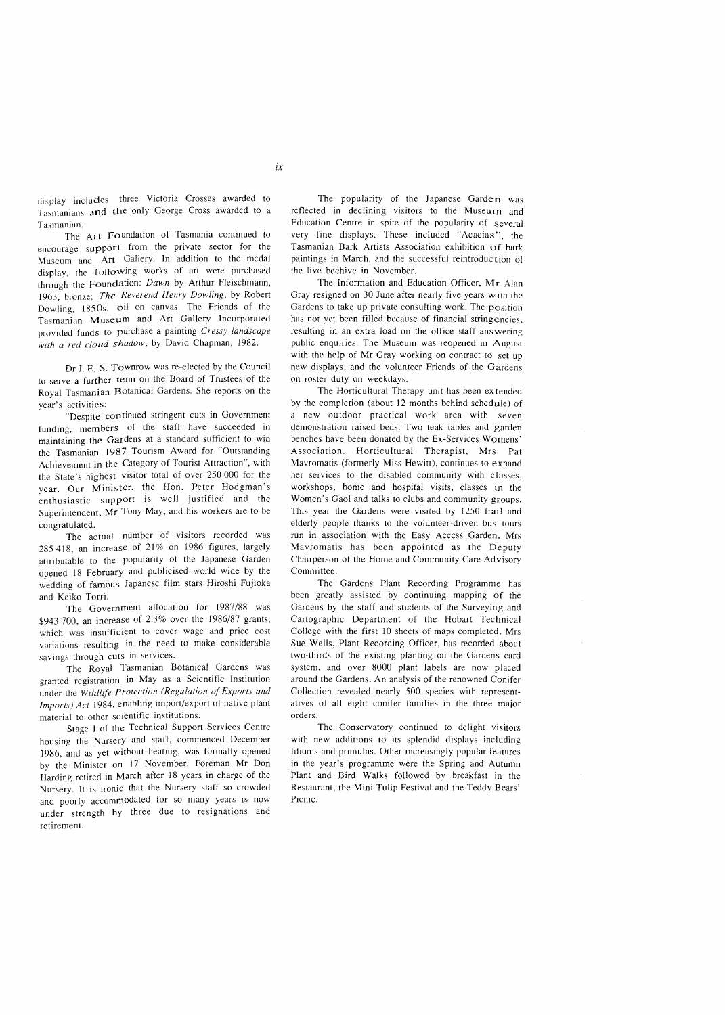display includes three Victoria Crosses awarded to Tasmanians and the only George Cross awarded to a Tasmanian.

The Art Foundation of Tasmania continued to encourage support from the private sector for the Museum and Art Gallery. In addition to the medal display, the following works of art were purchased through the Foundation: *Dawn* by Arthur Fleischmann, 1963, bronze; *The Reverend Henry Dowling*, by Robert Dowling, 18505, oil on canvas. The Friends of the Tasmanian Museum and Art Gallery Incorporated provided funds to purchase a painting *Cressy landscape*  with a red cloud shadow, by David Chapman, 1982.

Dr J. E. S. Townrow was re~elected by the Council to serve a further term on the Board of Trustees of the Royal Tasmanian Botanical Gardens. She reports on the year's activities:

"Despite continued stringent cuts in Government funding, members of the staff have succeeded in maintaining the Gardens at a standard sufficient to win the Tasmanian 1987 Tourism Award for "Outstanding Achievement in the Category of Tourist Attraction", with the State's highest visitor total of over 250000 for the year. Our Minister, the Hon, Peter Hodgman's enthusiastic support is well justified and the Superintendent, Mr Tony May, and his workers are to be congratulated.

The actual number of visitors recorded was 285418, an increase of 21% on 1986 figures, largely attributable to the popularity of the Japanese Garden opened 18 February and publicised world wide by the wedding of famous Japanese film stars Hiroshi Fujioka and Keiko Torri.

The Government allocation for 1987/88 was \$943 700, an increase of 2.3% over the 1986/87 grants, which was insufficient to cover wage and price cost variations resulting in the need to make considerable savings through cuts in services.

The Royal Tasmanian Botanical Gardens was granted registration in Mayas a Scientific Institution under the *Wildlife Protection (Regulation of Exports and Imports) Act* 1984, enabling import/export of native plant material to other scientific institutions.

Stage 1 of the Technical Support Services Centre housing the Nursery and staff, commenced December 1986, and as yet without heating, was formally opened by the Minister on 17 November. Foreman Mr Don Harding retired in March after 18 years in charge of the Nursery. It is ironic that the Nursery staff so crowded and poorly accommodated for so many years is now under strength by three due to resignations and retirement.

The popularity of the Japanese Garden was reflected in declining visitors to the Museum and Education Centre in spite of the popularity of several very fine displays. These included "Acacias", the Tasmanian Bark Artists Association exhibition of bark paintings in March, and the successful reintroduction of the live beehive in November.

The Information and Education Officer, Mr Alan Gray resigned on 30 June after nearly five years with the Gardens to take up private consulting work. The position has not yet been filled because of financial stringencies, resulting in an extra load on the office staff answering public enquiries. The Museum was reopened in August with the help of Mr Gray working on contract to set up new displays, and the volunteer Friends of the Gardens on roster duty on weekdays.

The Horticultural Therapy unit has been extended by the completion (about 12 months behind schedule) of a new outdoor practical work area with seven demonstration raised beds. Two teak tables and garden benches have been donated by the Ex~Services Womens' Association. Horticultural Therapist, Mrs Pat Mavromatis (formerly Miss Hewitt), continues to expand her services to the disabled community with classes, workshops, home and hospital visits, classes in the Women's Gaol and talks to clubs and community groups. This year the Gardens were visited by 1250 frail and elderly people thanks to the volunteer-driven bus tours run in association with the Easy Access Garden. Mrs Mavromatis has been appointed as the Deputy Chairperson of the Home and Community Care Advisory Committee.

The Gardens Plant Recording Programme has been greatly assisted by continuing mapping of the Gardens by the staff and students of the Surveying and Cartographic Department of the Hobart Technical College with the first 10 sheets of maps completed. Mrs Sue Wells, Plant Recording Officer, has recorded about two~thirds of the existing planting on the Gardens card system, and over 8000 plant labels are now placed around the Gardens. An analysis of the renowned Conifer Collection revealed nearly 500 species with representatives of all eight conifer families in the three major orders.

The Conservatory continued to delight visitors with new additions to its splendid displays including liliums and primulas. Other increasingly popular features in the year's programme were the Spring and Autumn Plant and Bird Walks followed by breakfast in the Restaurant. the Mini Tulip Festival and the Teddy Bears' Picnic.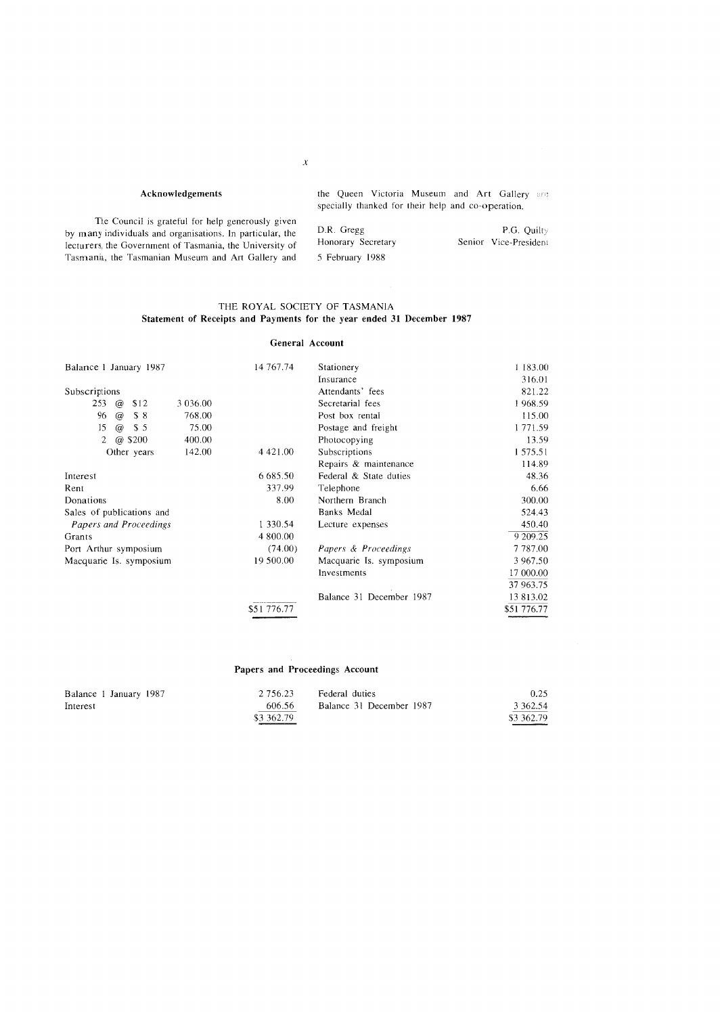# Acknowledgements

The Council is grateful for help generously given by many individuals and organisations. In particular, the lecturers. the Government of Tasmania, the University of Tasmania, the Tasmanian Museum and Art Gallery and the Queen Victoria Museum and Art Gallery are specially thanked for their help and co-operation.

| D.R. Gregg         | <b>P.G. Ouilty</b>    |
|--------------------|-----------------------|
| Honorary Secretary | Senior Vice-President |
| 5 February 1988    |                       |

# THE ROYAL SOCIETY OF TASMANIA Statement of Receipts and Payments for the year ended **31** December 1987

## General Account

| Balance 1 January 1987                    | 14 767.74   | Stationery               | 1 183.00    |
|-------------------------------------------|-------------|--------------------------|-------------|
|                                           |             | Insurance                | 316.01      |
| Subscriptions                             |             | Attendants' fees         | 821.22      |
| 253<br>3 0 3 6 .0 0<br>\$12<br>$\omega$   |             | Secretarial fees         | 1968.59     |
| 96<br>\$8<br>768.00<br>$\omega$           |             | Post box rental          | 115.00      |
| 15<br>75.00<br>$\omega$<br>S <sub>5</sub> |             | Postage and freight      | 1 771.59    |
| @ \$200<br>2<br>400.00                    |             | Photocopying             | 13.59       |
| 142.00<br>Other years                     | 4 4 2 1 .00 | Subscriptions            | 1 575.51    |
|                                           |             | Repairs & maintenance    | 114.89      |
| Interest                                  | 6 6 8 5 .50 | Federal & State duties   | 48.36       |
| Rent                                      | 337.99      | Telephone                | 6.66        |
| Donations                                 | 8.00        | Northern Branch          | 300.00      |
| Sales of publications and                 |             | Banks Medal              | 524.43      |
| Papers and Proceedings                    | 1 330.54    | Lecture expenses         | 450.40      |
| Grants                                    | 4 800.00    |                          | 9 209.25    |
| Port Arthur symposium                     | (74.00)     | Papers & Proceedings     | 7 787.00    |
| Macquarie Is. symposium                   | 19 500.00   | Macquarie Is. symposium  | 3 967.50    |
|                                           |             | Investments              | 17 000.00   |
|                                           |             |                          | 37 963.75   |
|                                           |             | Balance 31 December 1987 | 13 813.02   |
|                                           | \$51 776.77 |                          | \$51 776.77 |

# Papers and Proceedings Account

| Balance 1 January 1987 | 2.756.23   | Federal duties           | 0.25          |
|------------------------|------------|--------------------------|---------------|
| Interest               | 606.56     | Balance 31 December 1987 | 3 3 6 2 . 5 4 |
|                        | \$3 362.79 |                          | \$3 362.79    |

*x*